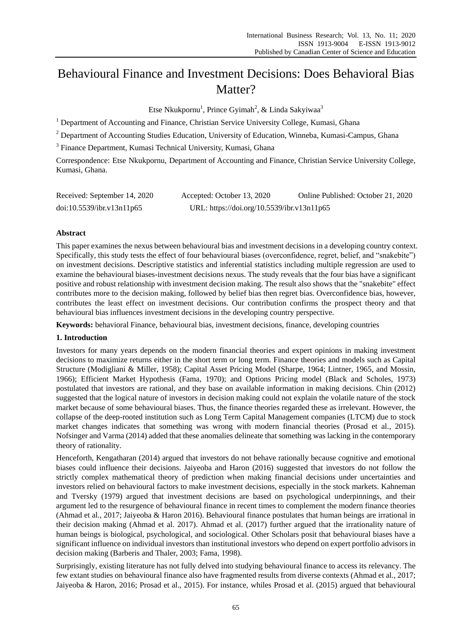# Behavioural Finance and Investment Decisions: Does Behavioral Bias Matter?

Etse Nkukpornu<sup>1</sup>, Prince Gyimah<sup>2</sup>, & Linda Sakyiwaa<sup>3</sup>

<sup>1</sup> Department of Accounting and Finance, Christian Service University College, Kumasi, Ghana

<sup>2</sup> Department of Accounting Studies Education, University of Education, Winneba, Kumasi-Campus, Ghana

<sup>3</sup> Finance Department, Kumasi Technical University, Kumasi, Ghana

Correspondence: Etse Nkukpornu, Department of Accounting and Finance, Christian Service University College, Kumasi, Ghana.

| Received: September 14, 2020 | Accepted: October 13, 2020                 | Online Published: October 21, 2020 |
|------------------------------|--------------------------------------------|------------------------------------|
| doi:10.5539/ibr.v13n11p65    | URL: https://doi.org/10.5539/ibr.v13n11p65 |                                    |

# **Abstract**

This paper examines the nexus between behavioural bias and investment decisions in a developing country context. Specifically, this study tests the effect of four behavioural biases (overconfidence, regret, belief, and "snakebite") on investment decisions. Descriptive statistics and inferential statistics including multiple regression are used to examine the behavioural biases-investment decisions nexus. The study reveals that the four bias have a significant positive and robust relationship with investment decision making. The result also shows that the "snakebite" effect contributes more to the decision making, followed by belief bias then regret bias. Overconfidence bias, however, contributes the least effect on investment decisions. Our contribution confirms the prospect theory and that behavioural bias influences investment decisions in the developing country perspective.

**Keywords:** behavioral Finance, behavioural bias, investment decisions, finance, developing countries

# **1. Introduction**

Investors for many years depends on the modern financial theories and expert opinions in making investment decisions to maximize returns either in the short term or long term. Finance theories and models such as Capital Structure (Modigliani & Miller, 1958); Capital Asset Pricing Model (Sharpe, 1964; Lintner, 1965, and Mossin, 1966); Efficient Market Hypothesis (Fama, 1970); and Options Pricing model (Black and Scholes, 1973) postulated that investors are rational, and they base on available information in making decisions. Chin (2012) suggested that the logical nature of investors in decision making could not explain the volatile nature of the stock market because of some behavioural biases. Thus, the finance theories regarded these as irrelevant. However, the collapse of the deep-rooted institution such as Long Term Capital Management companies (LTCM) due to stock market changes indicates that something was wrong with modern financial theories (Prosad et al., 2015). Nofsinger and Varma (2014) added that these anomalies delineate that something was lacking in the contemporary theory of rationality.

Henceforth, Kengatharan (2014) argued that investors do not behave rationally because cognitive and emotional biases could influence their decisions. Jaiyeoba and Haron (2016) suggested that investors do not follow the strictly complex mathematical theory of prediction when making financial decisions under uncertainties and investors relied on behavioural factors to make investment decisions, especially in the stock markets. Kahneman and Tversky (1979) argued that investment decisions are based on psychological underpinnings, and their argument led to the resurgence of behavioural finance in recent times to complement the modern finance theories (Ahmad et al., 2017; Jaiyeoba & Haron 2016). Behavioural finance postulates that human beings are irrational in their decision making (Ahmad et al. 2017). Ahmad et al. (2017) further argued that the irrationality nature of human beings is biological, psychological, and sociological. Other Scholars posit that behavioural biases have a significant influence on individual investors than institutional investors who depend on expert portfolio advisors in decision making (Barberis and Thaler, 2003; Fama, 1998).

Surprisingly, existing literature has not fully delved into studying behavioural finance to access its relevancy. The few extant studies on behavioural finance also have fragmented results from diverse contexts (Ahmad et al., 2017; Jaiyeoba & Haron, 2016; Prosad et al., 2015). For instance, whiles Prosad et al. (2015) argued that behavioural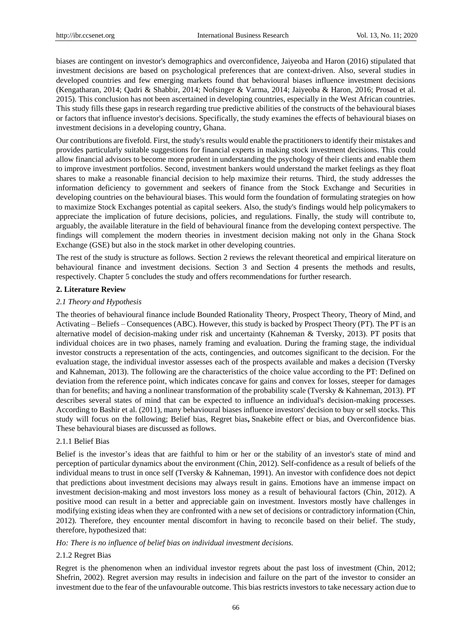biases are contingent on investor's demographics and overconfidence, Jaiyeoba and Haron (2016) stipulated that investment decisions are based on psychological preferences that are context-driven. Also, several studies in developed countries and few emerging markets found that behavioural biases influence investment decisions (Kengatharan, 2014; Qadri & Shabbir, 2014; Nofsinger & Varma, 2014; Jaiyeoba & Haron, 2016; Prosad et al. 2015). This conclusion has not been ascertained in developing countries, especially in the West African countries. This study fills these gaps in research regarding true predictive abilities of the constructs of the behavioural biases or factors that influence investor's decisions. Specifically, the study examines the effects of behavioural biases on investment decisions in a developing country, Ghana.

Our contributions are fivefold. First, the study's results would enable the practitioners to identify their mistakes and provides particularly suitable suggestions for financial experts in making stock investment decisions. This could allow financial advisors to become more prudent in understanding the psychology of their clients and enable them to improve investment portfolios. Second, investment bankers would understand the market feelings as they float shares to make a reasonable financial decision to help maximize their returns. Third, the study addresses the information deficiency to government and seekers of finance from the Stock Exchange and Securities in developing countries on the behavioural biases. This would form the foundation of formulating strategies on how to maximize Stock Exchanges potential as capital seekers. Also, the study's findings would help policymakers to appreciate the implication of future decisions, policies, and regulations. Finally, the study will contribute to, arguably, the available literature in the field of behavioural finance from the developing context perspective. The findings will complement the modern theories in investment decision making not only in the Ghana Stock Exchange (GSE) but also in the stock market in other developing countries.

The rest of the study is structure as follows. Section 2 reviews the relevant theoretical and empirical literature on behavioural finance and investment decisions. Section 3 and Section 4 presents the methods and results, respectively. Chapter 5 concludes the study and offers recommendations for further research.

## **2. Literature Review**

## *2.1 Theory and Hypothesis*

The theories of behavioural finance include Bounded Rationality Theory, Prospect Theory, Theory of Mind, and Activating – Beliefs – Consequences (ABC). However, this study is backed by Prospect Theory (PT). The PT is an alternative model of decision-making under risk and uncertainty (Kahneman & Tversky, 2013). PT posits that individual choices are in two phases, namely framing and evaluation. During the framing stage, the individual investor constructs a representation of the acts, contingencies, and outcomes significant to the decision. For the evaluation stage, the individual investor assesses each of the prospects available and makes a decision (Tversky and Kahneman, 2013). The following are the characteristics of the choice value according to the PT: Defined on deviation from the reference point, which indicates concave for gains and convex for losses, steeper for damages than for benefits; and having a nonlinear transformation of the probability scale (Tversky & Kahneman, 2013). PT describes several states of mind that can be expected to influence an individual's decision-making processes. According to Bashir et al. (2011), many behavioural biases influence investors' decision to buy or sell stocks. This study will focus on the following; Belief bias, Regret bias**,** Snakebite effect or bias, and Overconfidence bias. These behavioural biases are discussed as follows.

## 2.1.1 Belief Bias

Belief is the investor's ideas that are faithful to him or her or the stability of an investor's state of mind and perception of particular dynamics about the environment (Chin, 2012). Self-confidence as a result of beliefs of the individual means to trust in once self (Tversky & Kahneman, 1991). An investor with confidence does not depict that predictions about investment decisions may always result in gains. Emotions have an immense impact on investment decision-making and most investors loss money as a result of behavioural factors (Chin, 2012). A positive mood can result in a better and appreciable gain on investment. Investors mostly have challenges in modifying existing ideas when they are confronted with a new set of decisions or contradictory information (Chin, 2012). Therefore, they encounter mental discomfort in having to reconcile based on their belief. The study, therefore, hypothesized that:

## *Ho: There is no influence of belief bias on individual investment decisions.*

## 2.1.2 Regret Bias

Regret is the phenomenon when an individual investor regrets about the past loss of investment (Chin, 2012; Shefrin, 2002). Regret aversion may results in indecision and failure on the part of the investor to consider an investment due to the fear of the unfavourable outcome. This bias restricts investors to take necessary action due to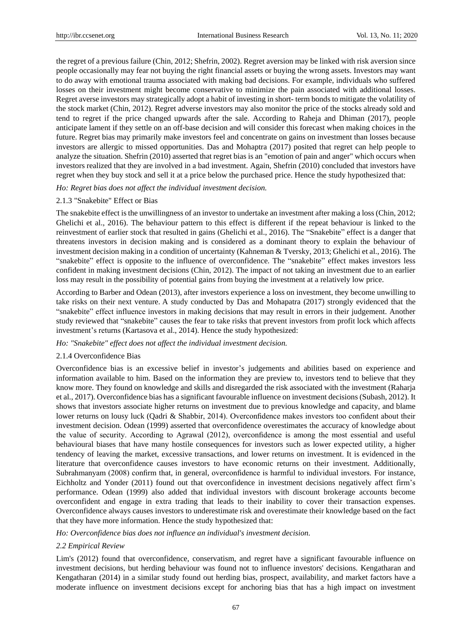the regret of a previous failure (Chin, 2012; Shefrin, 2002). Regret aversion may be linked with risk aversion since people occasionally may fear not buying the right financial assets or buying the wrong assets. Investors may want to do away with emotional trauma associated with making bad decisions. For example, individuals who suffered losses on their investment might become conservative to minimize the pain associated with additional losses. Regret averse investors may strategically adopt a habit of investing in short- term bonds to mitigate the volatility of the stock market (Chin, 2012). Regret adverse investors may also monitor the price of the stocks already sold and tend to regret if the price changed upwards after the sale. According to Raheja and Dhiman (2017), people anticipate lament if they settle on an off-base decision and will consider this forecast when making choices in the future. Regret bias may primarily make investors feel and concentrate on gains on investment than losses because investors are allergic to missed opportunities. Das and Mohaptra (2017) posited that regret can help people to analyze the situation. Shefrin (2010) asserted that regret bias is an "emotion of pain and anger" which occurs when investors realized that they are involved in a bad investment. Again, Shefrin (2010) concluded that investors have regret when they buy stock and sell it at a price below the purchased price. Hence the study hypothesized that:

## *Ho: Regret bias does not affect the individual investment decision.*

## 2.1.3 "Snakebite" Effect or Bias

The snakebite effect is the unwillingness of an investor to undertake an investment after making a loss (Chin, 2012; Ghelichi et al., 2016). The behaviour pattern to this effect is different if the repeat behaviour is linked to the reinvestment of earlier stock that resulted in gains (Ghelichi et al., 2016). The "Snakebite" effect is a danger that threatens investors in decision making and is considered as a dominant theory to explain the behaviour of investment decision making in a condition of uncertainty (Kahneman & Tversky, 2013; Ghelichi et al., 2016). The "snakebite" effect is opposite to the influence of overconfidence. The "snakebite" effect makes investors less confident in making investment decisions (Chin, 2012). The impact of not taking an investment due to an earlier loss may result in the possibility of potential gains from buying the investment at a relatively low price.

According to Barber and Odean (2013), after investors experience a loss on investment, they become unwilling to take risks on their next venture. A study conducted by Das and Mohapatra (2017) strongly evidenced that the ―snakebite‖ effect influence investors in making decisions that may result in errors in their judgement. Another study reviewed that "snakebite" causes the fear to take risks that prevent investors from profit lock which affects investment's returns (Kartasova et al., 2014). Hence the study hypothesized:

## *Ho: "Snakebite" effect does not affect the individual investment decision.*

## 2.1.4 Overconfidence Bias

Overconfidence bias is an excessive belief in investor's judgements and abilities based on experience and information available to him. Based on the information they are preview to, investors tend to believe that they know more. They found on knowledge and skills and disregarded the risk associated with the investment (Raharja et al., 2017). Overconfidence bias has a significant favourable influence on investment decisions (Subash, 2012). It shows that investors associate higher returns on investment due to previous knowledge and capacity, and blame lower returns on lousy luck (Qadri & Shabbir, 2014). Overconfidence makes investors too confident about their investment decision. Odean (1999) asserted that overconfidence overestimates the accuracy of knowledge about the value of security. According to Agrawal (2012), overconfidence is among the most essential and useful behavioural biases that have many hostile consequences for investors such as lower expected utility, a higher tendency of leaving the market, excessive transactions, and lower returns on investment. It is evidenced in the literature that overconfidence causes investors to have economic returns on their investment. Additionally, Subrahmanyam (2008) confirm that, in general, overconfidence is harmful to individual investors. For instance, Eichholtz and Yonder (2011) found out that overconfidence in investment decisions negatively affect firm's performance. Odean (1999) also added that individual investors with discount brokerage accounts become overconfident and engage in extra trading that leads to their inability to cover their transaction expenses. Overconfidence always causes investors to underestimate risk and overestimate their knowledge based on the fact that they have more information. Hence the study hypothesized that:

*Ho: Overconfidence bias does not influence an individual's investment decision.*

## *2.2 Empirical Review*

Lim's (2012) found that overconfidence, conservatism, and regret have a significant favourable influence on investment decisions, but herding behaviour was found not to influence investors' decisions. Kengatharan and Kengatharan (2014) in a similar study found out herding bias, prospect, availability, and market factors have a moderate influence on investment decisions except for anchoring bias that has a high impact on investment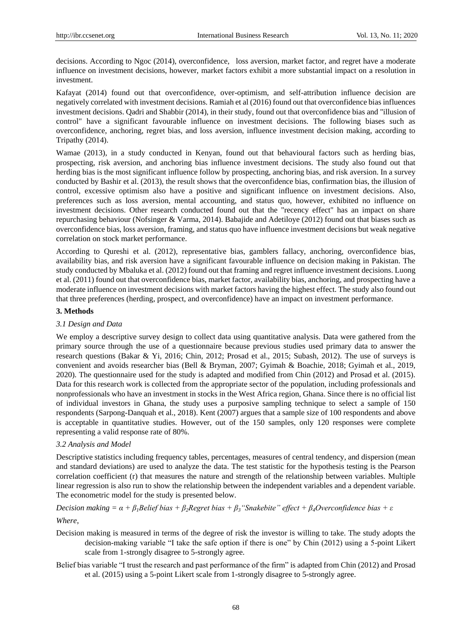decisions. According to Ngoc (2014), overconfidence, loss aversion, market factor, and regret have a moderate influence on investment decisions, however, market factors exhibit a more substantial impact on a resolution in investment.

Kafayat (2014) found out that overconfidence, over-optimism, and self-attribution influence decision are negatively correlated with investment decisions. Ramiah et al (2016) found out that overconfidence bias influences investment decisions. Qadri and Shabbir (2014), in their study, found out that overconfidence bias and "illusion of control" have a significant favourable influence on investment decisions. The following biases such as overconfidence, anchoring, regret bias, and loss aversion, influence investment decision making, according to Tripathy (2014).

Wamae (2013), in a study conducted in Kenyan, found out that behavioural factors such as herding bias, prospecting, risk aversion, and anchoring bias influence investment decisions. The study also found out that herding bias is the most significant influence follow by prospecting, anchoring bias, and risk aversion. In a survey conducted by Bashir et al. (2013), the result shows that the overconfidence bias, confirmation bias, the illusion of control, excessive optimism also have a positive and significant influence on investment decisions. Also, preferences such as loss aversion, mental accounting, and status quo, however, exhibited no influence on investment decisions. Other research conducted found out that the "recency effect" has an impact on share repurchasing behaviour (Nofsinger & Varma, 2014). Babajide and Adetiloye (2012) found out that biases such as overconfidence bias, loss aversion, framing, and status quo have influence investment decisions but weak negative correlation on stock market performance.

According to Qureshi et al. (2012), representative bias, gamblers fallacy, anchoring, overconfidence bias, availability bias, and risk aversion have a significant favourable influence on decision making in Pakistan. The study conducted by Mbaluka et al. (2012) found out that framing and regret influence investment decisions. Luong et al. (2011) found out that overconfidence bias, market factor, availability bias, anchoring, and prospecting have a moderate influence on investment decisions with market factors having the highest effect. The study also found out that three preferences (herding, prospect, and overconfidence) have an impact on investment performance.

## **3. Methods**

## *3.1 Design and Data*

We employ a descriptive survey design to collect data using quantitative analysis. Data were gathered from the primary source through the use of a questionnaire because previous studies used primary data to answer the research questions (Bakar & Yi, 2016; Chin, 2012; Prosad et al., 2015; Subash, 2012). The use of surveys is convenient and avoids researcher bias (Bell & Bryman, 2007; Gyimah & Boachie, 2018; Gyimah et al., 2019, 2020). The questionnaire used for the study is adapted and modified from Chin (2012) and Prosad et al. (2015). Data for this research work is collected from the appropriate sector of the population, including professionals and nonprofessionals who have an investment in stocks in the West Africa region, Ghana. Since there is no official list of individual investors in Ghana, the study uses a purposive sampling technique to select a sample of 150 respondents (Sarpong-Danquah et al., 2018). Kent (2007) argues that a sample size of 100 respondents and above is acceptable in quantitative studies. However, out of the 150 samples, only 120 responses were complete representing a valid response rate of 80%.

# *3.2 Analysis and Model*

Descriptive statistics including frequency tables, percentages, measures of central tendency, and dispersion (mean and standard deviations) are used to analyze the data. The test statistic for the hypothesis testing is the Pearson correlation coefficient (r) that measures the nature and strength of the relationship between variables. Multiple linear regression is also run to show the relationship between the independent variables and a dependent variable. The econometric model for the study is presented below.

*Decision making = α + β1Belief bias + β2Regret bias + β3"Snakebite" effect + β4Overconfidence bias + ε*

#### *Where*,

- Decision making is measured in terms of the degree of risk the investor is willing to take. The study adopts the decision-making variable "I take the safe option if there is one" by Chin (2012) using a 5-point Likert scale from 1-strongly disagree to 5-strongly agree.
- Belief bias variable "I trust the research and past performance of the firm" is adapted from Chin (2012) and Prosad et al. (2015) using a 5-point Likert scale from 1-strongly disagree to 5-strongly agree.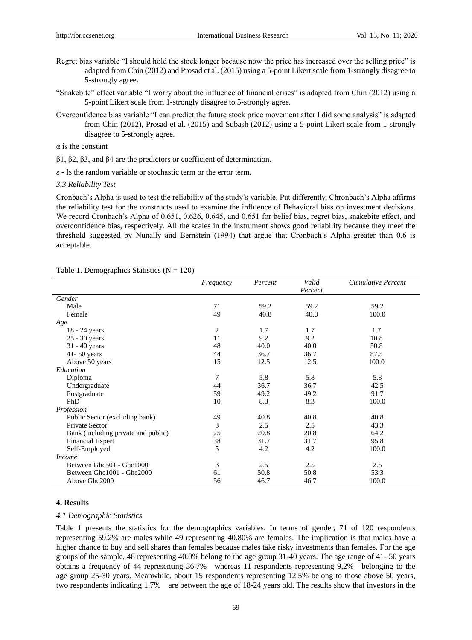- Regret bias variable "I should hold the stock longer because now the price has increased over the selling price" is adapted from Chin (2012) and Prosad et al. (2015) using a 5-point Likert scale from 1-strongly disagree to 5-strongly agree.
- "Snakebite" effect variable "I worry about the influence of financial crises" is adapted from Chin (2012) using a 5-point Likert scale from 1-strongly disagree to 5-strongly agree.
- Overconfidence bias variable "I can predict the future stock price movement after I did some analysis" is adapted from Chin (2012), Prosad et al. (2015) and Subash (2012) using a 5-point Likert scale from 1-strongly disagree to 5-strongly agree.

 $\alpha$  is the constant

β1, β2, β3, and β4 are the predictors or coefficient of determination.

ε - Is the random variable or stochastic term or the error term.

#### *3.3 Reliability Test*

Cronbach's Alpha is used to test the reliability of the study's variable. Put differently, Chronbach's Alpha affirms the reliability test for the constructs used to examine the influence of Behavioral bias on investment decisions. We record Cronbach's Alpha of 0.651, 0.626, 0.645, and 0.651 for belief bias, regret bias, snakebite effect, and overconfidence bias, respectively. All the scales in the instrument shows good reliability because they meet the threshold suggested by Nunally and Bernstein (1994) that argue that Cronbach's Alpha greater than 0.6 is acceptable.

|                                     | Frequency | Percent | Valid<br>Percent | <b>Cumulative Percent</b> |
|-------------------------------------|-----------|---------|------------------|---------------------------|
| Gender                              |           |         |                  |                           |
| Male                                | 71        | 59.2    | 59.2             | 59.2                      |
| Female                              | 49        | 40.8    | 40.8             | 100.0                     |
| Age                                 |           |         |                  |                           |
| 18 - 24 years                       | 2         | 1.7     | 1.7              | 1.7                       |
| 25 - 30 years                       | 11        | 9.2     | 9.2              | 10.8                      |
| 31 - 40 years                       | 48        | 40.0    | 40.0             | 50.8                      |
| $41 - 50$ years                     | 44        | 36.7    | 36.7             | 87.5                      |
| Above 50 years                      | 15        | 12.5    | 12.5             | 100.0                     |
| Education                           |           |         |                  |                           |
| Diploma                             | 7         | 5.8     | 5.8              | 5.8                       |
| Undergraduate                       | 44        | 36.7    | 36.7             | 42.5                      |
| Postgraduate                        | 59        | 49.2    | 49.2             | 91.7                      |
| PhD                                 | 10        | 8.3     | 8.3              | 100.0                     |
| Profession                          |           |         |                  |                           |
| Public Sector (excluding bank)      | 49        | 40.8    | 40.8             | 40.8                      |
| Private Sector                      | 3         | 2.5     | 2.5              | 43.3                      |
| Bank (including private and public) | 25        | 20.8    | 20.8             | 64.2                      |
| <b>Financial Expert</b>             | 38        | 31.7    | 31.7             | 95.8                      |
| Self-Employed                       | 5         | 4.2     | 4.2              | 100.0                     |
| <i>Income</i>                       |           |         |                  |                           |
| Between Ghc501 - Ghc1000            | 3         | 2.5     | 2.5              | 2.5                       |
| Between Ghc1001 - Ghc2000           | 61        | 50.8    | 50.8             | 53.3                      |
| Above Ghc2000                       | 56        | 46.7    | 46.7             | 100.0                     |

#### Table 1. Demographics Statistics ( $N = 120$ )

## **4. Results**

#### *4.1 Demographic Statistics*

Table 1 presents the statistics for the demographics variables. In terms of gender, 71 of 120 respondents representing 59.2% are males while 49 representing 40.80% are females. The implication is that males have a higher chance to buy and sell shares than females because males take risky investments than females. For the age groups of the sample, 48 representing 40.0% belong to the age group 31-40 years. The age range of 41- 50 years obtains a frequency of 44 representing 36.7% whereas 11 respondents representing 9.2% belonging to the age group 25-30 years. Meanwhile, about 15 respondents representing 12.5% belong to those above 50 years, two respondents indicating 1.7% are between the age of 18-24 years old. The results show that investors in the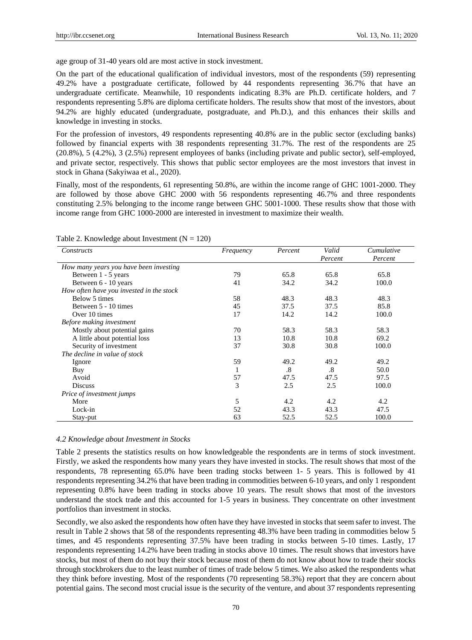age group of 31-40 years old are most active in stock investment.

On the part of the educational qualification of individual investors, most of the respondents (59) representing 49.2% have a postgraduate certificate, followed by 44 respondents representing 36.7% that have an undergraduate certificate. Meanwhile, 10 respondents indicating 8.3% are Ph.D. certificate holders, and 7 respondents representing 5.8% are diploma certificate holders. The results show that most of the investors, about 94.2% are highly educated (undergraduate, postgraduate, and Ph.D.), and this enhances their skills and knowledge in investing in stocks.

For the profession of investors, 49 respondents representing 40.8% are in the public sector (excluding banks) followed by financial experts with 38 respondents representing 31.7%. The rest of the respondents are 25 (20.8%), 5 (4.2%), 3 (2.5%) represent employees of banks (including private and public sector), self-employed, and private sector, respectively. This shows that public sector employees are the most investors that invest in stock in Ghana (Sakyiwaa et al., 2020).

Finally, most of the respondents, 61 representing 50.8%, are within the income range of GHC 1001-2000. They are followed by those above GHC 2000 with 56 respondents representing 46.7% and three respondents constituting 2.5% belonging to the income range between GHC 5001-1000. These results show that those with income range from GHC 1000-2000 are interested in investment to maximize their wealth.

| Constructs                               | Frequency | Percent                | Valid                  | Cumulative |
|------------------------------------------|-----------|------------------------|------------------------|------------|
|                                          |           |                        | Percent                | Percent    |
| How many years you have been investing   |           |                        |                        |            |
| Between 1 - 5 years                      | 79        | 65.8                   | 65.8                   | 65.8       |
| Between 6 - 10 years                     | 41        | 34.2                   | 34.2                   | 100.0      |
| How often have you invested in the stock |           |                        |                        |            |
| Below 5 times                            | 58        | 48.3                   | 48.3                   | 48.3       |
| Between 5 - 10 times                     | 45        | 37.5                   | 37.5                   | 85.8       |
| Over 10 times                            | 17        | 14.2                   | 14.2                   | 100.0      |
| Before making investment                 |           |                        |                        |            |
| Mostly about potential gains             | 70        | 58.3                   | 58.3                   | 58.3       |
| A little about potential loss            | 13        | 10.8                   | 10.8                   | 69.2       |
| Security of investment                   | 37        | 30.8                   | 30.8                   | 100.0      |
| The decline in value of stock            |           |                        |                        |            |
| Ignore                                   | 59        | 49.2                   | 49.2                   | 49.2       |
| Buy                                      |           | $\cdot$ <sup>8</sup> . | $\cdot$ <sup>8</sup> . | 50.0       |
| Avoid                                    | 57        | 47.5                   | 47.5                   | 97.5       |
| <b>Discuss</b>                           | 3         | 2.5                    | 2.5                    | 100.0      |
| Price of investment jumps                |           |                        |                        |            |
| More                                     | 5         | 4.2                    | 4.2                    | 4.2        |
| Lock-in                                  | 52        | 43.3                   | 43.3                   | 47.5       |
| Stay-put                                 | 63        | 52.5                   | 52.5                   | 100.0      |

Table 2. Knowledge about Investment  $(N = 120)$ 

#### *4.2 Knowledge about Investment in Stocks*

Table 2 presents the statistics results on how knowledgeable the respondents are in terms of stock investment. Firstly, we asked the respondents how many years they have invested in stocks. The result shows that most of the respondents, 78 representing 65.0% have been trading stocks between 1- 5 years. This is followed by 41 respondents representing 34.2% that have been trading in commodities between 6-10 years, and only 1 respondent representing 0.8% have been trading in stocks above 10 years. The result shows that most of the investors understand the stock trade and this accounted for 1-5 years in business. They concentrate on other investment portfolios than investment in stocks.

Secondly, we also asked the respondents how often have they have invested in stocks that seem safer to invest. The result in Table 2 shows that 58 of the respondents representing 48.3% have been trading in commodities below 5 times, and 45 respondents representing 37.5% have been trading in stocks between 5-10 times. Lastly, 17 respondents representing 14.2% have been trading in stocks above 10 times. The result shows that investors have stocks, but most of them do not buy their stock because most of them do not know about how to trade their stocks through stockbrokers due to the least number of times of trade below 5 times. We also asked the respondents what they think before investing. Most of the respondents (70 representing 58.3%) report that they are concern about potential gains. The second most crucial issue is the security of the venture, and about 37 respondents representing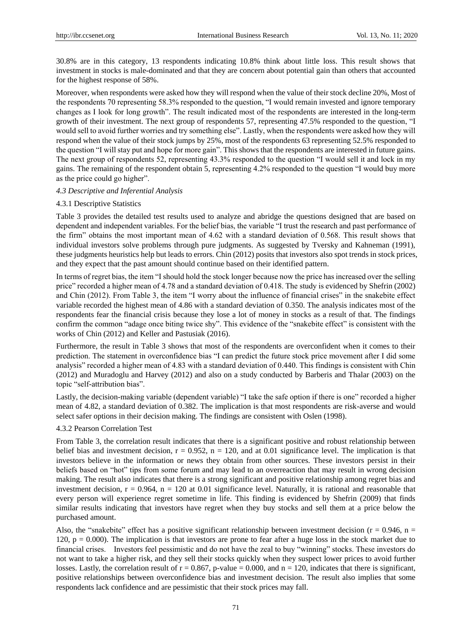30.8% are in this category, 13 respondents indicating 10.8% think about little loss. This result shows that investment in stocks is male-dominated and that they are concern about potential gain than others that accounted for the highest response of 58%.

Moreover, when respondents were asked how they will respond when the value of their stock decline 20%, Most of the respondents 70 representing 58.3% responded to the question, "I would remain invested and ignore temporary changes as I look for long growth". The result indicated most of the respondents are interested in the long-term growth of their investment. The next group of respondents 57, representing 47.5% responded to the question, "I would sell to avoid further worries and try something else". Lastly, when the respondents were asked how they will respond when the value of their stock jumps by 25%, most of the respondents 63 representing 52.5% responded to the question "I will stay put and hope for more gain". This shows that the respondents are interested in future gains. The next group of respondents 52, representing 43.3% responded to the question "I would sell it and lock in my gains. The remaining of the respondent obtain 5, representing 4.2% responded to the question "I would buy more as the price could go higher".

#### *4.3 Descriptive and Inferential Analysis*

#### 4.3.1 Descriptive Statistics

Table 3 provides the detailed test results used to analyze and abridge the questions designed that are based on dependent and independent variables. For the belief bias, the variable "I trust the research and past performance of the firm" obtains the most important mean of 4.62 with a standard deviation of 0.568. This result shows that individual investors solve problems through pure judgments. As suggested by Tversky and Kahneman (1991), these judgments heuristics help but leads to errors. Chin (2012) posits that investors also spot trends in stock prices, and they expect that the past amount should continue based on their identified pattern.

In terms of regret bias, the item "I should hold the stock longer because now the price has increased over the selling price‖ recorded a higher mean of 4.78 and a standard deviation of 0.418. The study is evidenced by Shefrin (2002) and Chin (2012). From Table 3, the item "I worry about the influence of financial crises" in the snakebite effect variable recorded the highest mean of 4.86 with a standard deviation of 0.350. The analysis indicates most of the respondents fear the financial crisis because they lose a lot of money in stocks as a result of that. The findings confirm the common "adage once biting twice shy". This evidence of the "snakebite effect" is consistent with the works of Chin (2012) and Keller and Pastusiak (2016).

Furthermore, the result in Table 3 shows that most of the respondents are overconfident when it comes to their prediction. The statement in overconfidence bias "I can predict the future stock price movement after I did some analysis" recorded a higher mean of 4.83 with a standard deviation of 0.440. This findings is consistent with Chin (2012) and Muradoglu and Harvey (2012) and also on a study conducted by Barberis and Thalar (2003) on the topic "self-attribution bias".

Lastly, the decision-making variable (dependent variable) "I take the safe option if there is one" recorded a higher mean of 4.82, a standard deviation of 0.382. The implication is that most respondents are risk-averse and would select safer options in their decision making. The findings are consistent with Oslen (1998).

## 4.3.2 Pearson Correlation Test

From Table 3, the correlation result indicates that there is a significant positive and robust relationship between belief bias and investment decision,  $r = 0.952$ ,  $n = 120$ , and at 0.01 significance level. The implication is that investors believe in the information or news they obtain from other sources. These investors persist in their beliefs based on "hot" tips from some forum and may lead to an overreaction that may result in wrong decision making. The result also indicates that there is a strong significant and positive relationship among regret bias and investment decision,  $r = 0.964$ ,  $n = 120$  at 0.01 significance level. Naturally, it is rational and reasonable that every person will experience regret sometime in life. This finding is evidenced by Shefrin (2009) that finds similar results indicating that investors have regret when they buy stocks and sell them at a price below the purchased amount.

Also, the "snakebite" effect has a positive significant relationship between investment decision ( $r = 0.946$ ,  $n =$ 120,  $p = 0.000$ ). The implication is that investors are prone to fear after a huge loss in the stock market due to financial crises. Investors feel pessimistic and do not have the zeal to buy "winning" stocks. These investors do not want to take a higher risk, and they sell their stocks quickly when they suspect lower prices to avoid further losses. Lastly, the correlation result of  $r = 0.867$ , p-value = 0.000, and  $n = 120$ , indicates that there is significant, positive relationships between overconfidence bias and investment decision. The result also implies that some respondents lack confidence and are pessimistic that their stock prices may fall.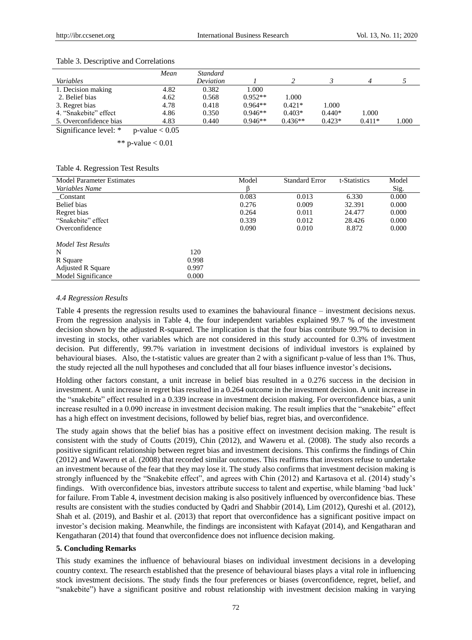|                        | Mean                 | Standard  |           |           |          |          |     |
|------------------------|----------------------|-----------|-----------|-----------|----------|----------|-----|
| Variables              |                      | Deviation |           |           |          |          |     |
| 1. Decision making     | 4.82                 | 0.382     | 000.1     |           |          |          |     |
| 2. Belief bias         | 4.62                 | 0.568     | $0.952**$ | 1.000     |          |          |     |
| 3. Regret bias         | 4.78                 | 0.418     | $0.964**$ | $0.421*$  | 1.000    |          |     |
| 4. "Snakebite" effect  | 4.86                 | 0.350     | $0.946**$ | $0.403*$  | $0.440*$ | 1.000    |     |
| 5. Overconfidence bias | 4.83                 | 0.440     | $0.946**$ | $0.436**$ | $0.423*$ | $0.411*$ | 000 |
| $\sim$<br>$\cdots$     | $\sim$ $\sim$ $\sim$ |           |           |           |          |          |     |

#### Table 3. Descriptive and Correlations

Significance level:  $*$  p-value  $< 0.05$ 

\*\* p-value  $< 0.01$ 

|  |  | Table 4. Regression Test Results |
|--|--|----------------------------------|
|--|--|----------------------------------|

| <b>Model Parameter Estimates</b> | Model | <b>Standard Error</b> | t-Statistics | Model |
|----------------------------------|-------|-----------------------|--------------|-------|
| Variables Name                   |       |                       |              | Sig.  |
| Constant                         | 0.083 | 0.013                 | 6.330        | 0.000 |
| Belief bias                      | 0.276 | 0.009                 | 32.391       | 0.000 |
| Regret bias                      | 0.264 | 0.011                 | 24.477       | 0.000 |
| "Snakebite" effect               | 0.339 | 0.012                 | 28.426       | 0.000 |
| Overconfidence                   | 0.090 | 0.010                 | 8.872        | 0.000 |
| Model Test Results               |       |                       |              |       |
| N                                | 120   |                       |              |       |
| R Square                         | 0.998 |                       |              |       |
| <b>Adjusted R Square</b>         | 0.997 |                       |              |       |
| Model Significance               | 0.000 |                       |              |       |

#### *4.4 Regression Results*

Table 4 presents the regression results used to examines the bahavioural finance – investment decisions nexus. From the regression analysis in Table 4, the four independent variables explained 99.7 % of the investment decision shown by the adjusted R-squared. The implication is that the four bias contribute 99.7% to decision in investing in stocks, other variables which are not considered in this study accounted for 0.3% of investment decision. Put differently, 99.7% variation in investment decisions of individual investors is explained by behavioural biases. Also, the t-statistic values are greater than 2 with a significant p-value of less than 1%. Thus, the study rejected all the null hypotheses and concluded that all four biases influence investor's decisions**.**

Holding other factors constant, a unit increase in belief bias resulted in a 0.276 success in the decision in investment. A unit increase in regret bias resulted in a 0.264 outcome in the investment decision. A unit increase in the "snakebite" effect resulted in a 0.339 increase in investment decision making. For overconfidence bias, a unit increase resulted in a 0.090 increase in investment decision making. The result implies that the "snakebite" effect has a high effect on investment decisions, followed by belief bias, regret bias, and overconfidence.

The study again shows that the belief bias has a positive effect on investment decision making. The result is consistent with the study of Coutts (2019), Chin (2012), and Waweru et al. (2008). The study also records a positive significant relationship between regret bias and investment decisions. This confirms the findings of Chin (2012) and Waweru et al. (2008) that recorded similar outcomes. This reaffirms that investors refuse to undertake an investment because of the fear that they may lose it. The study also confirms that investment decision making is strongly influenced by the "Snakebite effect", and agrees with Chin (2012) and Kartasova et al. (2014) study's findings. With overconfidence bias, investors attribute success to talent and expertise, while blaming 'bad luck' for failure. From Table 4, investment decision making is also positively influenced by overconfidence bias. These results are consistent with the studies conducted by Qadri and Shabbir (2014), Lim (2012), Qureshi et al. (2012), Shah et al. (2019), and Bashir et al. (2013) that report that overconfidence has a significant positive impact on investor's decision making. Meanwhile, the findings are inconsistent with Kafayat (2014), and Kengatharan and Kengatharan (2014) that found that overconfidence does not influence decision making.

## **5. Concluding Remarks**

This study examines the influence of behavioural biases on individual investment decisions in a developing country context. The research established that the presence of behavioural biases plays a vital role in influencing stock investment decisions. The study finds the four preferences or biases (overconfidence, regret, belief, and ―snakebite‖) have a significant positive and robust relationship with investment decision making in varying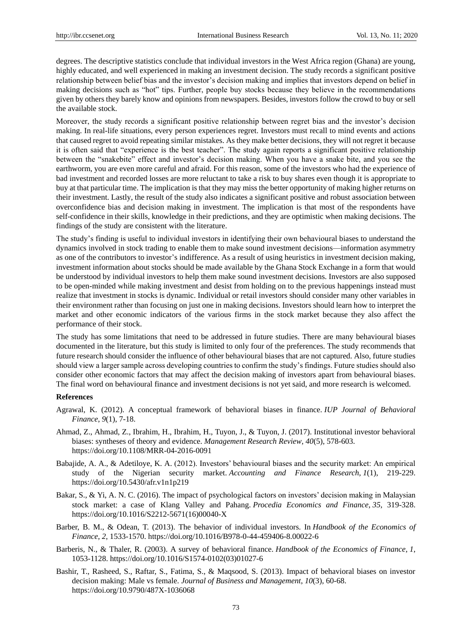degrees. The descriptive statistics conclude that individual investors in the West Africa region (Ghana) are young, highly educated, and well experienced in making an investment decision. The study records a significant positive relationship between belief bias and the investor's decision making and implies that investors depend on belief in making decisions such as "hot" tips. Further, people buy stocks because they believe in the recommendations given by others they barely know and opinions from newspapers. Besides, investors follow the crowd to buy or sell the available stock.

Moreover, the study records a significant positive relationship between regret bias and the investor's decision making. In real-life situations, every person experiences regret. Investors must recall to mind events and actions that caused regret to avoid repeating similar mistakes. As they make better decisions, they will not regret it because it is often said that "experience is the best teacher". The study again reports a significant positive relationship between the "snakebite" effect and investor's decision making. When you have a snake bite, and you see the earthworm, you are even more careful and afraid. For this reason, some of the investors who had the experience of bad investment and recorded losses are more reluctant to take a risk to buy shares even though it is appropriate to buy at that particular time. The implication is that they may miss the better opportunity of making higher returns on their investment. Lastly, the result of the study also indicates a significant positive and robust association between overconfidence bias and decision making in investment. The implication is that most of the respondents have self-confidence in their skills, knowledge in their predictions, and they are optimistic when making decisions. The findings of the study are consistent with the literature.

The study's finding is useful to individual investors in identifying their own behavioural biases to understand the dynamics involved in stock trading to enable them to make sound investment decisions—information asymmetry as one of the contributors to investor's indifference. As a result of using heuristics in investment decision making, investment information about stocks should be made available by the Ghana Stock Exchange in a form that would be understood by individual investors to help them make sound investment decisions. Investors are also supposed to be open-minded while making investment and desist from holding on to the previous happenings instead must realize that investment in stocks is dynamic. Individual or retail investors should consider many other variables in their environment rather than focusing on just one in making decisions. Investors should learn how to interpret the market and other economic indicators of the various firms in the stock market because they also affect the performance of their stock.

The study has some limitations that need to be addressed in future studies. There are many behavioural biases documented in the literature, but this study is limited to only four of the preferences. The study recommends that future research should consider the influence of other behavioural biases that are not captured. Also, future studies should view a larger sample across developing countries to confirm the study's findings. Future studies should also consider other economic factors that may affect the decision making of investors apart from behavioural biases. The final word on behavioural finance and investment decisions is not yet said, and more research is welcomed.

## **References**

- Agrawal, K. (2012). A conceptual framework of behavioral biases in finance. *IUP Journal of Behavioral Finance*, *9*(1), 7-18.
- Ahmad, Z., Ahmad, Z., Ibrahim, H., Ibrahim, H., Tuyon, J., & Tuyon, J. (2017). Institutional investor behavioral biases: syntheses of theory and evidence. *Management Research Review*, *40*(5), 578-603. https://doi.org/10.1108/MRR-04-2016-0091
- Babajide, A. A., & Adetiloye, K. A. (2012). Investors' behavioural biases and the security market: An empirical study of the Nigerian security market. *Accounting and Finance Research*, *1*(1), 219-229. https://doi.org/10.5430/afr.v1n1p219
- Bakar, S., & Yi, A. N. C. (2016). The impact of psychological factors on investors' decision making in Malaysian stock market: a case of Klang Valley and Pahang. *Procedia Economics and Finance*, *35*, 319-328. https://doi.org/10.1016/S2212-5671(16)00040-X
- Barber, B. M., & Odean, T. (2013). The behavior of individual investors. In *Handbook of the Economics of Finance*, *2*, 1533-1570. https://doi.org/10.1016/B978-0-44-459406-8.00022-6
- Barberis, N., & Thaler, R. (2003). A survey of behavioral finance. *Handbook of the Economics of Finance*, *1*, 1053-1128. https://doi.org/10.1016/S1574-0102(03)01027-6
- Bashir, T., Rasheed, S., Raftar, S., Fatima, S., & Maqsood, S. (2013). Impact of behavioral biases on investor decision making: Male vs female. *Journal of Business and Management*, *10*(3), 60-68. https://doi.org/10.9790/487X-1036068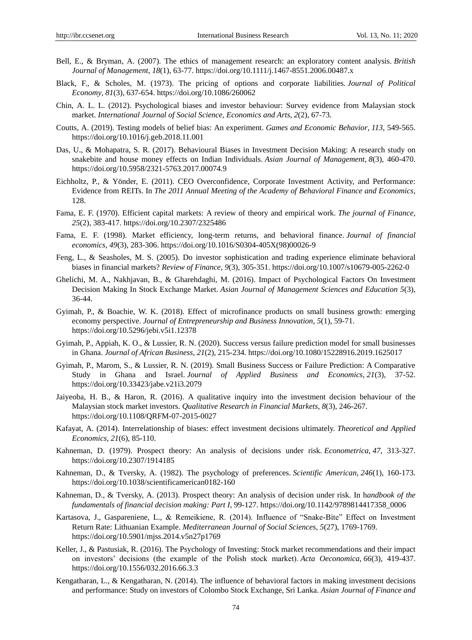- Bell, E., & Bryman, A. (2007). The ethics of management research: an exploratory content analysis. *British Journal of Management*, *18*(1), 63-77. https://doi.org/10.1111/j.1467-8551.2006.00487.x
- Black, F., & Scholes, M. (1973). The pricing of options and corporate liabilities. *Journal of Political Economy*, *81*(3), 637-654. https://doi.org/10.1086/260062
- Chin, A. L. L. (2012). Psychological biases and investor behaviour: Survey evidence from Malaysian stock market. *International Journal of Social Science, Economics and Arts*, *2*(2), 67-73.
- Coutts, A. (2019). Testing models of belief bias: An experiment. *Games and Economic Behavior*, *113*, 549-565. https://doi.org/10.1016/j.geb.2018.11.001
- Das, U., & Mohapatra, S. R. (2017). Behavioural Biases in Investment Decision Making: A research study on snakebite and house money effects on Indian Individuals. *Asian Journal of Management*, *8*(3), 460-470. https://doi.org/10.5958/2321-5763.2017.00074.9
- Eichholtz, P., & Yönder, E. (2011). CEO Overconfidence, Corporate Investment Activity, and Performance: Evidence from REITs. In *The 2011 Annual Meeting of the Academy of Behavioral Finance and Economics*, 128.
- Fama, E. F. (1970). Efficient capital markets: A review of theory and empirical work. *The journal of Finance*, *25*(2), 383-417. https://doi.org/10.2307/2325486
- Fama, E. F. (1998). Market efficiency, long-term returns, and behavioral finance. *Journal of financial economics*, *49*(3), 283-306. https://doi.org/10.1016/S0304-405X(98)00026-9
- Feng, L., & Seasholes, M. S. (2005). Do investor sophistication and trading experience eliminate behavioral biases in financial markets? *Review of Finance*, *9*(3), 305-351. https://doi.org/10.1007/s10679-005-2262-0
- Ghelichi, M. A., Nakhjavan, B., & Gharehdaghi, M. (2016). Impact of Psychological Factors On Investment Decision Making In Stock Exchange Market. *Asian Journal of Management Sciences and Education 5*(3), 36-44.
- Gyimah, P., & Boachie, W. K. (2018). Effect of microfinance products on small business growth: emerging economy perspective. *Journal of Entrepreneurship and Business Innovation*, *5*(1), 59-71. https://doi.org/10.5296/jebi.v5i1.12378
- Gyimah, P., Appiah, K. O., & Lussier, R. N. (2020). Success versus failure prediction model for small businesses in Ghana. *Journal of African Business*, *21*(2), 215-234. https://doi.org/10.1080/15228916.2019.1625017
- Gyimah, P., Marom, S., & Lussier, R. N. (2019). Small Business Success or Failure Prediction: A Comparative Study in Ghana and Israel. *Journal of Applied Business and Economics*, *21*(3), 37-52. https://doi.org/10.33423/jabe.v21i3.2079
- Jaiyeoba, H. B., & Haron, R. (2016). A qualitative inquiry into the investment decision behaviour of the Malaysian stock market investors. *Qualitative Research in Financial Markets*, *8*(3), 246-267. https://doi.org/10.1108/QRFM-07-2015-0027
- Kafayat, A. (2014). Interrelationship of biases: effect investment decisions ultimately. *Theoretical and Applied Economics*, *21*(6), 85-110.
- Kahneman, D. (1979). Prospect theory: An analysis of decisions under risk. *Econometrica*, *47*, 313-327. https://doi.org/10.2307/1914185
- Kahneman, D., & Tversky, A. (1982). The psychology of preferences. *Scientific American*, *246*(1), 160-173. https://doi.org/10.1038/scientificamerican0182-160
- Kahneman, D., & Tversky, A. (2013). Prospect theory: An analysis of decision under risk. In h*andbook of the fundamentals of financial decision making: Part I*, 99-127. https://doi.org/10.1142/9789814417358\_0006
- Kartasova, J., Gaspareniene, L., & Remeikiene, R. (2014). Influence of "Snake-Bite" Effect on Investment Return Rate: Lithuanian Example. *Mediterranean Journal of Social Sciences*, *5*(27), 1769-1769. https://doi.org/10.5901/mjss.2014.v5n27p1769
- Keller, J., & Pastusiak, R. (2016). The Psychology of Investing: Stock market recommendations and their impact on investors' decisions (the example of the Polish stock market). *Acta Oeconomica*, *66*(3), 419-437. https://doi.org/10.1556/032.2016.66.3.3
- Kengatharan, L., & Kengatharan, N. (2014). The influence of behavioral factors in making investment decisions and performance: Study on investors of Colombo Stock Exchange, Sri Lanka. *Asian Journal of Finance and*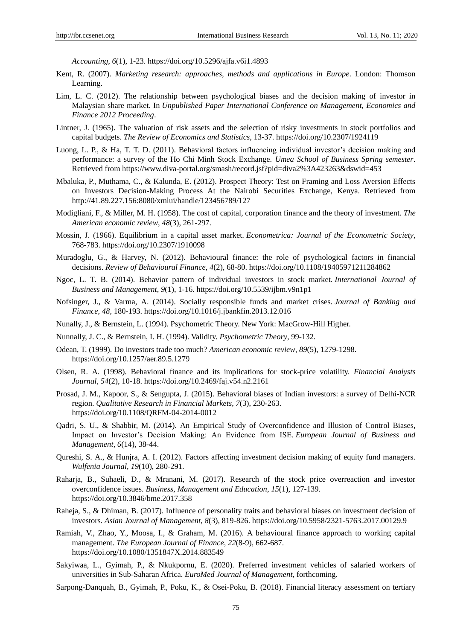*Accounting*, *6*(1), 1-23. https://doi.org/10.5296/ajfa.v6i1.4893

- Kent, R. (2007). *Marketing research: approaches, methods and applications in Europe*. London: Thomson Learning.
- Lim, L. C. (2012). The relationship between psychological biases and the decision making of investor in Malaysian share market. In *Unpublished Paper International Conference on Management, Economics and Finance 2012 Proceeding*.
- Lintner, J. (1965). The valuation of risk assets and the selection of risky investments in stock portfolios and capital budgets. *The Review of Economics and Statistics*, 13-37. https://doi.org/10.2307/1924119
- Luong, L. P., & Ha, T. T. D. (2011). Behavioral factors influencing individual investor's decision making and performance: a survey of the Ho Chi Minh Stock Exchange. *Umea School of Business Spring semester*. Retrieved from https://www.diva-portal.org/smash/record.jsf?pid=diva2%3A423263&dswid=453
- Mbaluka, P., Muthama, C., & Kalunda, E. (2012). Prospect Theory: Test on Framing and Loss Aversion Effects on Investors Decision-Making Process At the Nairobi Securities Exchange, Kenya. Retrieved from http://41.89.227.156:8080/xmlui/handle/123456789/127
- Modigliani, F., & Miller, M. H. (1958). The cost of capital, corporation finance and the theory of investment. *The American economic review*, *48*(3), 261-297.
- Mossin, J. (1966). Equilibrium in a capital asset market. *Econometrica: Journal of the Econometric Society*, 768-783. https://doi.org/10.2307/1910098
- Muradoglu, G., & Harvey, N. (2012). Behavioural finance: the role of psychological factors in financial decisions. *Review of Behavioural Finance*, *4*(2), 68-80. https://doi.org/10.1108/19405971211284862
- Ngoc, L. T. B. (2014). Behavior pattern of individual investors in stock market. *International Journal of Business and Management*, *9*(1), 1-16. https://doi.org/10.5539/ijbm.v9n1p1
- Nofsinger, J., & Varma, A. (2014). Socially responsible funds and market crises. *Journal of Banking and Finance*, *48*, 180-193. https://doi.org/10.1016/j.jbankfin.2013.12.016
- Nunally, J., & Bernstein, L. (1994). Psychometric Theory. New York: MacGrow-Hill Higher.
- Nunnally, J. C., & Bernstein, I. H. (1994). Validity. *Psychometric Theory*, 99-132.
- Odean, T. (1999). Do investors trade too much? *American economic review*, *89*(5), 1279-1298. https://doi.org/10.1257/aer.89.5.1279
- Olsen, R. A. (1998). Behavioral finance and its implications for stock-price volatility. *Financial Analysts Journal*, *54*(2), 10-18. https://doi.org/10.2469/faj.v54.n2.2161
- Prosad, J. M., Kapoor, S., & Sengupta, J. (2015). Behavioral biases of Indian investors: a survey of Delhi-NCR region. *Qualitative Research in Financial Markets*, *7*(3), 230-263. https://doi.org/10.1108/QRFM-04-2014-0012
- Qadri, S. U., & Shabbir, M. (2014). An Empirical Study of Overconfidence and Illusion of Control Biases, Impact on Investor's Decision Making: An Evidence from ISE. *European Journal of Business and Management*, *6*(14), 38-44.
- Qureshi, S. A., & Hunjra, A. I. (2012). Factors affecting investment decision making of equity fund managers. *Wulfenia Journal, 19*(10), 280-291.
- Raharja, B., Suhaeli, D., & Mranani, M. (2017). Research of the stock price overreaction and investor overconfidence issues. *Business, Management and Education*, *15*(1), 127-139. https://doi.org/10.3846/bme.2017.358
- Raheja, S., & Dhiman, B. (2017). Influence of personality traits and behavioral biases on investment decision of investors. *Asian Journal of Management*, *8*(3), 819-826. https://doi.org/10.5958/2321-5763.2017.00129.9
- Ramiah, V., Zhao, Y., Moosa, I., & Graham, M. (2016). A behavioural finance approach to working capital management. *The European Journal of Finance*, *22*(8-9), 662-687. https://doi.org/10.1080/1351847X.2014.883549
- Sakyiwaa, L., Gyimah, P., & Nkukpornu, E. (2020). Preferred investment vehicles of salaried workers of universities in Sub-Saharan Africa. *EuroMed Journal of Management*, forthcoming.
- Sarpong-Danquah, B., Gyimah, P., Poku, K., & Osei-Poku, B. (2018). Financial literacy assessment on tertiary